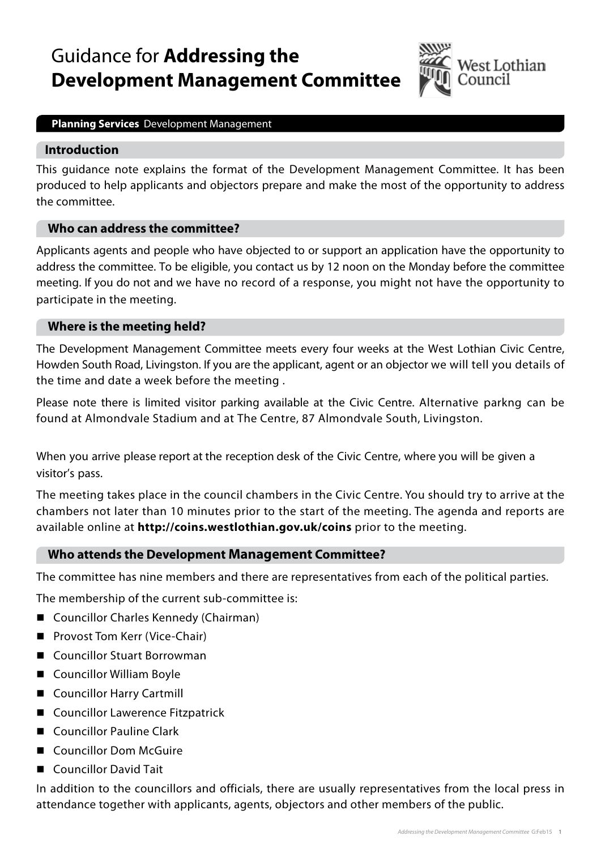# Guidance for **Addressing the Development Management Committee**



#### **Planning Services** Development Management

#### **Introduction**

This guidance note explains the format of the Development Management Committee. It has been produced to help applicants and objectors prepare and make the most of the opportunity to address the committee.

#### **Who can address the committee?**

Applicants agents and people who have objected to or support an application have the opportunity to address the committee. To be eligible, you contact us by 12 noon on the Monday before the committee meeting. If you do not and we have no record of a response, you might not have the opportunity to participate in the meeting.

## **Where is the meeting held?**

The Development Management Committee meets every four weeks at the West Lothian Civic Centre, Howden South Road, Livingston. If you are the applicant, agent or an objector we will tell you details of the time and date a week before the meeting .

Please note there is limited visitor parking available at the Civic Centre. Alternative parkng can be found at Almondvale Stadium and at The Centre, 87 Almondvale South, Livingston.

When you arrive please report at the reception desk of the Civic Centre, where you will be given a visitor's pass.

The meeting takes place in the council chambers in the Civic Centre. You should try to arrive at the chambers not later than 10 minutes prior to the start of the meeting. The agenda and reports are available online at **<http://coins.westlothian.gov.uk/coins>** prior to the meeting.

## **Who attends the Development Management Committee?**

The committee has nine members and there are representatives from each of the political parties.

The membership of the current sub-committee is:

- Councillor Charles Kennedy (Chairman)
- **Provost Tom Kerr (Vice-Chair)**
- Councillor Stuart Borrowman
- Councillor William Boyle
- Councillor Harry Cartmill
- Councillor Lawerence Fitzpatrick
- Councillor Pauline Clark
- Councillor Dom McGuire
- Councillor David Tait

In addition to the councillors and officials, there are usually representatives from the local press in attendance together with applicants, agents, objectors and other members of the public.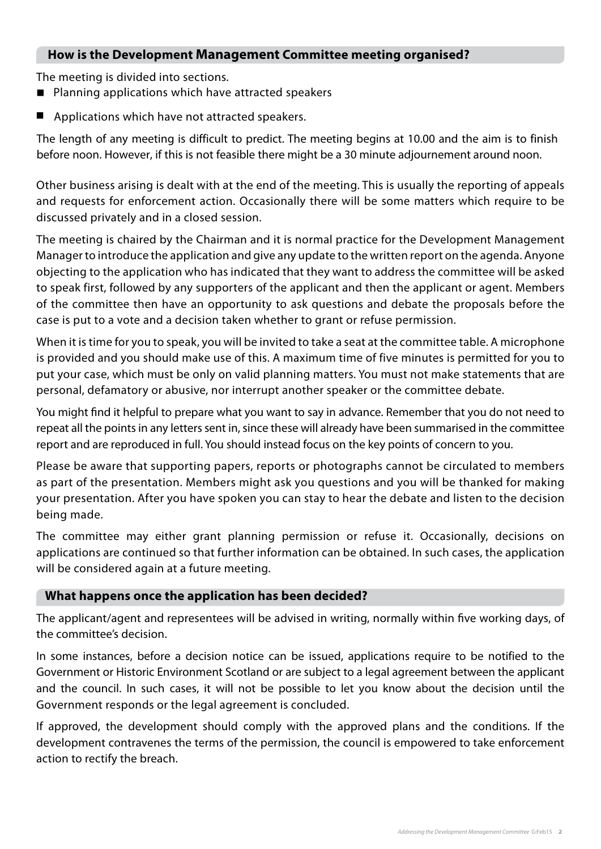## **How is the Development Management Committee meeting organised?**

The meeting is divided into sections.

- Planning applications which have attracted speakers
- Applications which have not attracted speakers.

The length of any meeting is difficult to predict. The meeting begins at 10.00 and the aim is to finish before noon. However, if this is not feasible there might be a 30 minute adjournement around noon.

Other business arising is dealt with at the end of the meeting. This is usually the reporting of appeals and requests for enforcement action. Occasionally there will be some matters which require to be discussed privately and in a closed session.

The meeting is chaired by the Chairman and it is normal practice for the Development Management Manager to introduce the application and give any update to the written report on the agenda. Anyone objecting to the application who has indicated that they want to address the committee will be asked to speak first, followed by any supporters of the applicant and then the applicant or agent. Members of the committee then have an opportunity to ask questions and debate the proposals before the case is put to a vote and a decision taken whether to grant or refuse permission.

When it is time for you to speak, you will be invited to take a seat at the committee table. A microphone is provided and you should make use of this. A maximum time of five minutes is permitted for you to put your case, which must be only on valid planning matters. You must not make statements that are personal, defamatory or abusive, nor interrupt another speaker or the committee debate.

You might find it helpful to prepare what you want to say in advance. Remember that you do not need to repeat all the points in any letters sent in, since these will already have been summarised in the committee report and are reproduced in full. You should instead focus on the key points of concern to you.

Please be aware that supporting papers, reports or photographs cannot be circulated to members as part of the presentation. Members might ask you questions and you will be thanked for making your presentation. After you have spoken you can stay to hear the debate and listen to the decision being made.

The committee may either grant planning permission or refuse it. Occasionally, decisions on applications are continued so that further information can be obtained. In such cases, the application will be considered again at a future meeting.

## **What happens once the application has been decided?**

The applicant/agent and representees will be advised in writing, normally within five working days, of the committee's decision.

In some instances, before a decision notice can be issued, applications require to be notified to the Government or Historic Environment Scotland or are subject to a legal agreement between the applicant and the council. In such cases, it will not be possible to let you know about the decision until the Government responds or the legal agreement is concluded.

If approved, the development should comply with the approved plans and the conditions. If the development contravenes the terms of the permission, the council is empowered to take enforcement action to rectify the breach.